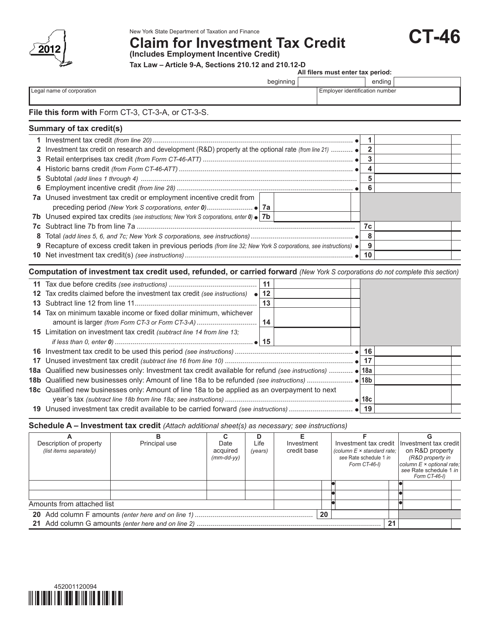

# New York State Department of Taxation and Finance<br>Claim\_for Investment Tax Credit **CT-46**

**(Includes Employment Incentive Credit)**

**Tax Law – Article 9-A, Sections 210.12 and 210.12-D**

**All filers must enter tax period:**

|                                                   | beginning | ending                         |  |  |
|---------------------------------------------------|-----------|--------------------------------|--|--|
| Legal name of corporation                         |           | Employer identification number |  |  |
|                                                   |           |                                |  |  |
| File this form with Form CT-3, CT-3-A, or CT-3-S. |           |                                |  |  |

# **Summary of tax credit(s)**

| 7a Unused investment tax credit or employment incentive credit from                                                        |    |  |
|----------------------------------------------------------------------------------------------------------------------------|----|--|
|                                                                                                                            |    |  |
| <b>7b</b> Unused expired tax credits (see instructions; New York S corporations, enter $0 \cdot 7b$                        |    |  |
|                                                                                                                            | 7c |  |
|                                                                                                                            |    |  |
| 9 Recapture of excess credit taken in previous periods (from line 32; New York S corporations, see instructions) $\bullet$ | 9  |  |
|                                                                                                                            | 10 |  |

### **Computation of investment tax credit used, refunded, or carried forward** *(New York S corporations do not complete this section)*

|    |                                                                                                         | 11 |  |  |  |
|----|---------------------------------------------------------------------------------------------------------|----|--|--|--|
|    | 12 Tax credits claimed before the investment tax credit (see instructions)<br>$\bullet$                 | 12 |  |  |  |
| 13 |                                                                                                         | 13 |  |  |  |
|    | 14 Tax on minimum taxable income or fixed dollar minimum, whichever                                     |    |  |  |  |
|    |                                                                                                         |    |  |  |  |
|    | <b>15</b> Limitation on investment tax credit <i>(subtract line 14 from line 13:</i>                    |    |  |  |  |
|    |                                                                                                         |    |  |  |  |
|    |                                                                                                         | 16 |  |  |  |
|    |                                                                                                         | 17 |  |  |  |
|    | 18a Qualified new businesses only: Investment tax credit available for refund (see instructions)  • 18a |    |  |  |  |
|    |                                                                                                         |    |  |  |  |
|    | <b>18c</b> Qualified new businesses only: Amount of line 18a to be applied as an overpayment to next    |    |  |  |  |
|    |                                                                                                         |    |  |  |  |
|    |                                                                                                         |    |  |  |  |

**Schedule A – Investment tax credit** *(Attach additional sheet(s) as necessary; see instructions)*

| Description of property    | Principal use | Date         | Life    | Investment  | Investment tax credit   Investment tax credit |                                         |
|----------------------------|---------------|--------------|---------|-------------|-----------------------------------------------|-----------------------------------------|
| (list items separately)    |               | acquired     | (years) | credit base | (column $E \times$ standard rate;             | on R&D property                         |
|                            |               | $(mm-dd-vv)$ |         |             | see Rate schedule 1 in                        | (R&D property in                        |
|                            |               |              |         |             | Form CT-46-I)                                 | column $E \times$ optional rate;        |
|                            |               |              |         |             |                                               | see Rate schedule 1 in<br>Form CT-46-I) |
|                            |               |              |         |             |                                               |                                         |
|                            |               |              |         |             |                                               |                                         |
|                            |               |              |         |             |                                               |                                         |
| Amounts from attached list |               |              |         |             |                                               |                                         |
|                            |               |              |         | 20          |                                               |                                         |
|                            |               |              |         |             |                                               |                                         |